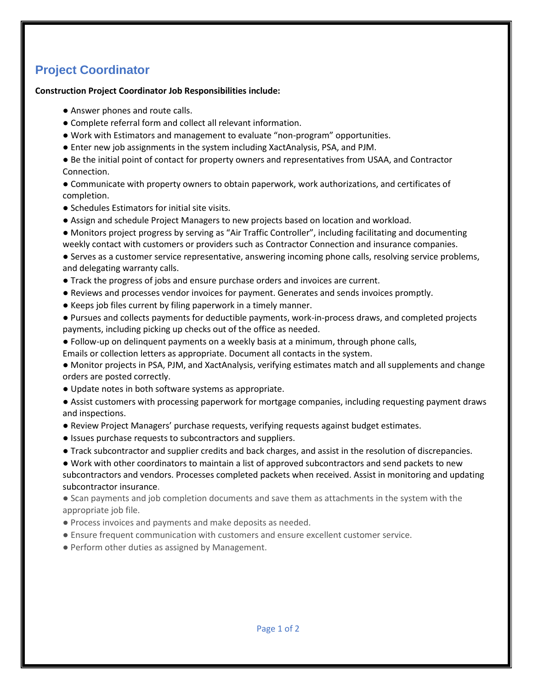## **Project Coordinator**

## **Construction Project Coordinator Job Responsibilities include:**

- Answer phones and route calls.
- Complete referral form and collect all relevant information.
- Work with Estimators and management to evaluate "non-program" opportunities.
- Enter new job assignments in the system including XactAnalysis, PSA, and PJM.
- Be the initial point of contact for property owners and representatives from USAA, and Contractor Connection.
- Communicate with property owners to obtain paperwork, work authorizations, and certificates of completion.
- Schedules Estimators for initial site visits.
- Assign and schedule Project Managers to new projects based on location and workload.
- Monitors project progress by serving as "Air Traffic Controller", including facilitating and documenting weekly contact with customers or providers such as Contractor Connection and insurance companies.
- Serves as a customer service representative, answering incoming phone calls, resolving service problems, and delegating warranty calls.
- Track the progress of jobs and ensure purchase orders and invoices are current.
- Reviews and processes vendor invoices for payment. Generates and sends invoices promptly.
- Keeps job files current by filing paperwork in a timely manner.
- Pursues and collects payments for deductible payments, work-in-process draws, and completed projects payments, including picking up checks out of the office as needed.
- Follow-up on delinquent payments on a weekly basis at a minimum, through phone calls,
- Emails or collection letters as appropriate. Document all contacts in the system.
- Monitor projects in PSA, PJM, and XactAnalysis, verifying estimates match and all supplements and change orders are posted correctly.
- Update notes in both software systems as appropriate.
- Assist customers with processing paperwork for mortgage companies, including requesting payment draws and inspections.
- Review Project Managers' purchase requests, verifying requests against budget estimates.
- Issues purchase requests to subcontractors and suppliers.
- Track subcontractor and supplier credits and back charges, and assist in the resolution of discrepancies.
- Work with other coordinators to maintain a list of approved subcontractors and send packets to new subcontractors and vendors. Processes completed packets when received. Assist in monitoring and updating subcontractor insurance.
- Scan payments and job completion documents and save them as attachments in the system with the appropriate job file.
- Process invoices and payments and make deposits as needed.
- Ensure frequent communication with customers and ensure excellent customer service.
- Perform other duties as assigned by Management.